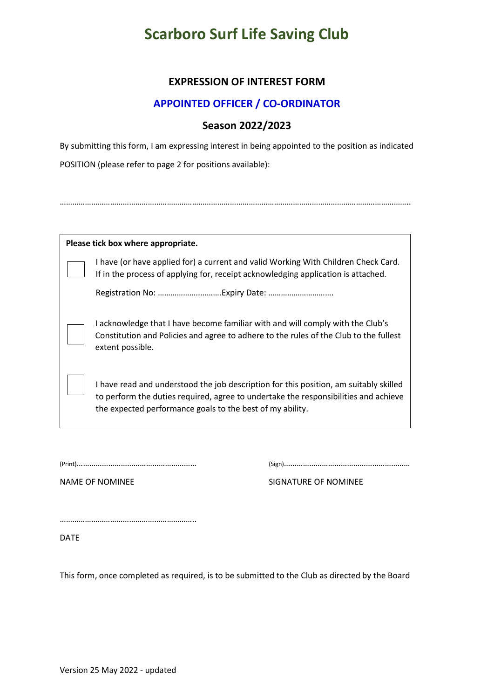## **Scarboro Surf Life Saving Club**

### **EXPRESSION OF INTEREST FORM**

#### **APPOINTED OFFICER / CO-ORDINATOR**

## **Season 2022/2023**

By submitting this form, I am expressing interest in being appointed to the position as indicated POSITION (please refer to page 2 for positions available):

…………………………………………………………………………………………………………………………………………………..

| Please tick box where appropriate. |                                                                                                                                                                                                                                           |  |  |
|------------------------------------|-------------------------------------------------------------------------------------------------------------------------------------------------------------------------------------------------------------------------------------------|--|--|
|                                    | I have (or have applied for) a current and valid Working With Children Check Card.<br>If in the process of applying for, receipt acknowledging application is attached.                                                                   |  |  |
|                                    |                                                                                                                                                                                                                                           |  |  |
|                                    | I acknowledge that I have become familiar with and will comply with the Club's<br>Constitution and Policies and agree to adhere to the rules of the Club to the fullest<br>extent possible.                                               |  |  |
|                                    | I have read and understood the job description for this position, am suitably skilled<br>to perform the duties required, agree to undertake the responsibilities and achieve<br>the expected performance goals to the best of my ability. |  |  |

(Print)………………………………………………… (Sign)……………………………………………………

NAME OF NOMINEE SIGNATURE OF NOMINEE

………………………………………………………..

DATE

This form, once completed as required, is to be submitted to the Club as directed by the Board